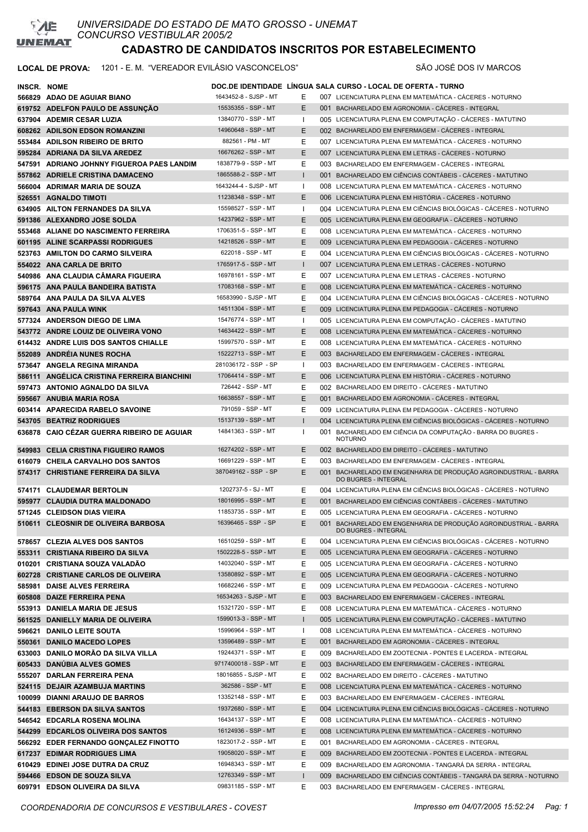

### **CADASTRO DE CANDIDATOS INSCRITOS POR ESTABELECIMENTO**

| INSCR. NOME |                                             |                       |              | DOC.DE IDENTIDADE LINGUA SALA CURSO - LOCAL DE OFERTA - TURNO                            |
|-------------|---------------------------------------------|-----------------------|--------------|------------------------------------------------------------------------------------------|
|             | 566829 ADAO DE AGUIAR BIANO                 | 1643452-8 - SJSP - MT | E.           | 007 LICENCIATURA PLENA EM MATEMÁTICA - CÁCERES - NOTURNO                                 |
|             | 619752 ADELFON PAULO DE ASSUNÇÃO            | 15535355 - SSP - MT   | E.           | 001 BACHARELADO EM AGRONOMIA - CÁCERES - INTEGRAL                                        |
|             | 637904 ADEMIR CESAR LUZIA                   | 13840770 - SSP - MT   | I.           | 005 LICENCIATURA PLENA EM COMPUTAÇÃO - CÁCERES - MATUTINO                                |
|             | 608262 ADILSON EDSON ROMANZINI              | 14960648 - SSP - MT   | E.           | 002 BACHARELADO EM ENFERMAGEM - CÁCERES - INTEGRAL                                       |
|             | 553484 ADILSON RIBEIRO DE BRITO             | 882561 - PM - MT      | E            | 007 LICENCIATURA PLENA EM MATEMÁTICA - CÁCERES - NOTURNO                                 |
|             | 595284 ADRIANA DA SILVA AREDEZ              | 16676262 - SSP - MT   | E            | 007 LICENCIATURA PLENA EM LETRAS - CÁCERES - NOTURNO                                     |
|             | 547591 ADRIANO JOHNNY FIGUEROA PAES LANDIM  | 1838779-9 - SSP - MT  | E            | 003 BACHARELADO EM ENFERMAGEM - CÁCERES - INTEGRAL                                       |
|             | 557862 ADRIELE CRISTINA DAMACENO            | 1865588-2 - SSP - MT  | $\mathbf{I}$ | 001 BACHARELADO EM CIÊNCIAS CONTÁBEIS - CÁCERES - MATUTINO                               |
|             | 566004 ADRIMAR MARIA DE SOUZA               | 1643244-4 - SJSP - MT | I.           | 008 LICENCIATURA PLENA EM MATEMÁTICA - CÁCERES - NOTURNO                                 |
|             | 526551 AGNALDO TIMOTI                       | 11238348 - SSP - MT   | E            | 006 LICENCIATURA PLENA EM HISTÓRIA - CÁCERES - NOTURNO                                   |
|             | 634905 AILTON FERNANDES DA SILVA            | 15598527 - SSP - MT   | л.           | 004 LICENCIATURA PLENA EM CIÊNCIAS BIOLÓGICAS - CÁCERES - NOTURNO                        |
|             | 591386 ALEXANDRO JOSE SOLDA                 | 14237962 - SSP - MT   | E.           | 005 LICENCIATURA PLENA EM GEOGRAFIA - CÁCERES - NOTURNO                                  |
|             | 553468 ALIANE DO NASCIMENTO FERREIRA        | 1706351-5 - SSP - MT  | E.           | 008 LICENCIATURA PLENA EM MATEMÁTICA - CÁCERES - NOTURNO                                 |
|             | 601195 ALINE SCARPASSI RODRIGUES            | 14218526 - SSP - MT   | E.           | 009 LICENCIATURA PLENA EM PEDAGOGIA - CÁCERES - NOTURNO                                  |
|             | 523763 AMILTON DO CARMO SILVEIRA            | 622018 - SSP - MT     | E            | 004 LICENCIATURA PLENA EM CIÊNCIAS BIOLÓGICAS - CÁCERES - NOTURNO                        |
|             | 554022 ANA CARLA DE BRITO                   | 1765917-5 - SSP - MT  | $\mathbf{I}$ | 007 LICENCIATURA PLENA EM LETRAS - CÁCERES - NOTURNO                                     |
|             | 540986 ANA CLAUDIA CÂMARA FIGUEIRA          | 16978161 - SSP - MT   | E.           | 007 LICENCIATURA PLENA EM LETRAS - CÁCERES - NOTURNO                                     |
|             |                                             | 17083168 - SSP - MT   | E.           | 008 LICENCIATURA PLENA EM MATEMÁTICA - CÁCERES - NOTURNO                                 |
|             | 596175 ANA PAULA BANDEIRA BATISTA           |                       |              |                                                                                          |
|             | 589764 ANA PAULA DA SILVA ALVES             | 16583990 - SJSP - MT  | Е            | 004 LICENCIATURA PLENA EM CIÊNCIAS BIOLÓGICAS - CÁCERES - NOTURNO                        |
|             | 597643 ANA PAULA WINK                       | 14511304 - SSP - MT   | E            | 009 LICENCIATURA PLENA EM PEDAGOGIA - CÁCERES - NOTURNO                                  |
|             | 577324 ANDERSON DIEGO DE LIMA               | 15476774 - SSP - MT   | $\mathbf{I}$ | 005 LICENCIATURA PLENA EM COMPUTAÇÃO - CÁCERES - MATUTINO                                |
|             | 543772 ANDRE LOUIZ DE OLIVEIRA VONO         | 14634422 - SSP - MT   | E.           | 008 LICENCIATURA PLENA EM MATEMÁTICA - CÁCERES - NOTURNO                                 |
|             | 614432 ANDRE LUIS DOS SANTOS CHIALLE        | 15997570 - SSP - MT   | E            | 008 LICENCIATURA PLENA EM MATEMÁTICA - CÁCERES - NOTURNO                                 |
|             | 552089 ANDREIA NUNES ROCHA                  | 15222713 - SSP - MT   | E.           | 003 BACHARELADO EM ENFERMAGEM - CÁCERES - INTEGRAL                                       |
|             | 573647 ANGELA REGINA MIRANDA                | 281036172 - SSP - SP  | Τ.           | 003 BACHARELADO EM ENFERMAGEM - CÁCERES - INTEGRAL                                       |
|             | 586111 ANGELICA CRISTINA FERREIRA BIANCHINI | 17064414 - SSP - MT   | E.           | 006 LICENCIATURA PLENA EM HISTÓRIA - CÁCERES - NOTURNO                                   |
|             | 597473 ANTONIO AGNALDO DA SILVA             | 726442 - SSP - MT     | E            | 002 BACHARELADO EM DIREITO - CÁCERES - MATUTINO                                          |
|             | 595667 ANUBIA MARIA ROSA                    | 16638557 - SSP - MT   | E.           | 001 BACHARELADO EM AGRONOMIA - CÁCERES - INTEGRAL                                        |
|             | 603414 APARECIDA RABELO SAVOINE             | 791059 - SSP - MT     | E            | 009 LICENCIATURA PLENA EM PEDAGOGIA - CÁCERES - NOTURNO                                  |
|             | 543705 BEATRIZ RODRIGUES                    | 15137139 - SSP - MT   | $\mathbf{I}$ | 004 LICENCIATURA PLENA EM CIÊNCIAS BIOLÓGICAS - CÁCERES - NOTURNO                        |
|             | 636878 CAIO CÉZAR GUERRA RIBEIRO DE AGUIAR  | 14841363 - SSP - MT   | л.           | 001 BACHARELADO EM CIÊNCIA DA COMPUTAÇÃO - BARRA DO BUGRES -<br><b>NOTURNO</b>           |
|             | 549983 CELIA CRISTINA FIGUEIRO RAMOS        | 16274202 - SSP - MT   | E.           | 002 BACHARELADO EM DIREITO - CÁCERES - MATUTINO                                          |
|             | 616079 CHEILA CARVALHO DOS SANTOS           | 16691229 - SSP - MT   | Е            | 003 BACHARELADO EM ENFERMAGEM - CÁCERES - INTEGRAL                                       |
|             | 574317 CHRISTIANE FERREIRA DA SILVA         | 387049162 - SSP - SP  | E            | 001 BACHARELADO EM ENGENHARIA DE PRODUÇÃO AGROINDUSTRIAL - BARRA<br>DO BUGRES - INTEGRAL |
|             | 574171 CLAUDEMAR BERTOLIN                   | 1202737-5 - SJ - MT   | E            | 004 LICENCIATURA PLENA EM CIÊNCIAS BIOLÓGICAS - CÁCERES - NOTURNO                        |
|             | 595977 CLAUDIA DUTRA MALDONADO              | 18016995 - SSP - MT   | E            | 001 BACHARELADO EM CIÊNCIAS CONTÁBEIS - CÁCERES - MATUTINO                               |
|             | 571245 CLEIDSON DIAS VIEIRA                 | 11853735 - SSP - MT   | E            | 005 LICENCIATURA PLENA EM GEOGRAFIA - CÁCERES - NOTURNO                                  |
|             | 510611 CLEOSNIR DE OLIVEIRA BARBOSA         | 16396465 - SSP - SP   | E            | 001 BACHARELADO EM ENGENHARIA DE PRODUÇÃO AGROINDUSTRIAL - BARRA<br>DO BUGRES - INTEGRAL |
|             | 578657 CLEZIA ALVES DOS SANTOS              | 16510259 - SSP - MT   | E            | 004 LICENCIATURA PLENA EM CIÊNCIAS BIOLÓGICAS - CÁCERES - NOTURNO                        |
|             | 553311 CRISTIANA RIBEIRO DA SILVA           | 1502228-5 - SSP - MT  | E.           | 005 LICENCIATURA PLENA EM GEOGRAFIA - CACERES - NOTURNO                                  |
|             | 010201 CRISTIANA SOUZA VALADÃO              | 14032040 - SSP - MT   | E.           | 005 LICENCIATURA PLENA EM GEOGRAFIA - CÁCERES - NOTURNO                                  |
|             | 602728 CRISTIANE CARLOS DE OLIVEIRA         | 13580892 - SSP - MT   | E            | 005 LICENCIATURA PLENA EM GEOGRAFIA - CÁCERES - NOTURNO                                  |
|             | 585981 DAISE ALVES FERREIRA                 | 16682246 - SSP - MT   | E            | 009 LICENCIATURA PLENA EM PEDAGOGIA - CÁCERES - NOTURNO                                  |
|             | 605808 DAIZE FERREIRA PENA                  | 16534263 - SJSP - MT  | E            | 003 BACHARELADO EM ENFERMAGEM - CÁCERES - INTEGRAL                                       |
|             | 553913 DANIELA MARIA DE JESUS               | 15321720 - SSP - MT   | E            | 008 LICENCIATURA PLENA EM MATEMÁTICA - CÁCERES - NOTURNO                                 |
|             | 561525 DANIELLY MARIA DE OLIVEIRA           | 1599013-3 - SSP - MT  | $\mathbf{I}$ | 005 LICENCIATURA PLENA EM COMPUTAÇÃO - CÁCERES - MATUTINO                                |
|             | 596621 DANILO LEITE SOUTA                   | 15996964 - SSP - MT   | $\mathbf{I}$ | 008 LICENCIATURA PLENA EM MATEMÁTICA - CÁCERES - NOTURNO                                 |
|             | 550361 DANILO MACEDO LOPES                  | 13596489 - SSP - MT   | E            | 001 BACHARELADO EM AGRONOMIA - CÁCERES - INTEGRAL                                        |
|             | 633003 DANILO MORÃO DA SILVA VILLA          | 19244371 - SSP - MT   | E            | 009 BACHARELADO EM ZOOTECNIA - PONTES E LACERDA - INTEGRAL                               |
|             | 605433 DANÚBIA ALVES GOMES                  | 9717400018 - SSP - MT | E.           | 003 BACHARELADO EM ENFERMAGEM - CÁCERES - INTEGRAL                                       |
|             | 555207 DARLAN FERREIRA PENA                 | 18016855 - SJSP - MT  | E.           | 002 BACHARELADO EM DIREITO - CÁCERES - MATUTINO                                          |
|             | 524115 DEJAIR AZAMBUJA MARTINS              | 362586 - SSP - MT     | E            | 008 LICENCIATURA PLENA EM MATEMÁTICA - CÁCERES - NOTURNO                                 |
|             | 100099 DIANNI ARAUJO DE BARROS              | 13352148 - SSP - MT   | E            | 003 BACHARELADO EM ENFERMAGEM - CÁCERES - INTEGRAL                                       |
|             | 544183 EBERSON DA SILVA SANTOS              | 19372680 - SSP - MT   | E.           | 004 LICENCIATURA PLENA EM CIÊNCIAS BIOLÓGICAS - CÁCERES - NOTURNO                        |
|             |                                             | 16434137 - SSP - MT   |              |                                                                                          |
|             | 546542 EDCARLA ROSENA MOLINA                |                       | E.           | 008 LICENCIATURA PLENA EM MATEMÁTICA - CÁCERES - NOTURNO                                 |
|             | 544299 EDCARLOS OLIVEIRA DOS SANTOS         | 16124936 - SSP - MT   | E.           | 008 LICENCIATURA PLENA EM MATEMÁTICA - CÁCERES - NOTURNO                                 |
|             | 566292 EDER FERNANDO GONÇALEZ FINOTTO       | 1823017-2 - SSP - MT  | E            | 001 BACHARELADO EM AGRONOMIA - CÁCERES - INTEGRAL                                        |
|             | 617237 EDIMAR RODRIGUES LIMA                | 19058020 - SSP - MT   | E.           | 009 BACHARELADO EM ZOOTECNIA - PONTES E LACERDA - INTEGRAL                               |
|             | 610429 EDINEI JOSE DUTRA DA CRUZ            | 16948343 - SSP - MT   | E.           | 009 BACHARELADO EM AGRONOMIA - TANGARÁ DA SERRA - INTEGRAL                               |
|             | 594466 EDSON DE SOUZA SILVA                 | 12763349 - SSP - MT   | $\mathbf{I}$ | 009 BACHARELADO EM CIÊNCIAS CONTÁBEIS - TANGARÁ DA SERRA - NOTURNO                       |
|             | 609791 EDSON OLIVEIRA DA SILVA              | 09831185 - SSP - MT   | E            | 003 BACHARELADO EM ENFERMAGEM - CÁCERES - INTEGRAL                                       |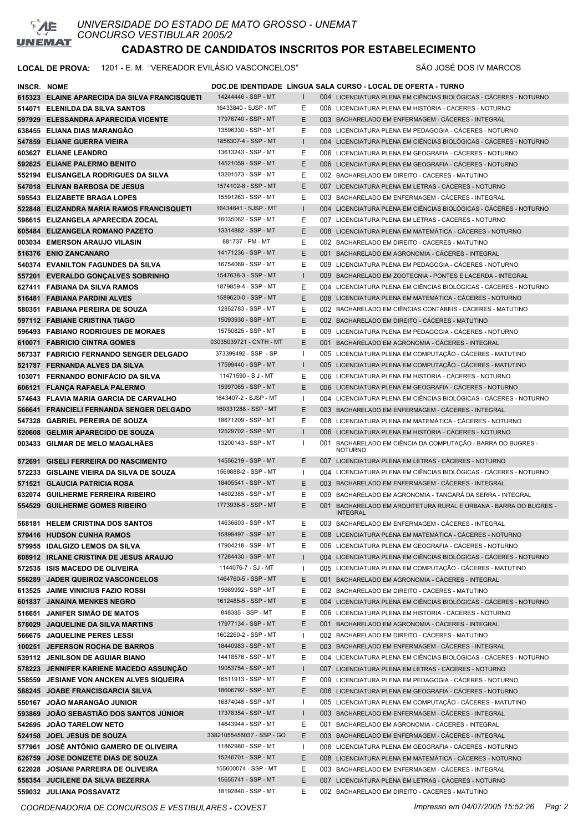

# **CADASTRO DE CANDIDATOS INSCRITOS POR ESTABELECIMENTO**

| <b>INSCR. NOME</b> |                                                                    |                                           |                   | DOC.DE IDENTIDADE LÍNGUA SALA CURSO - LOCAL DE OFERTA - TURNO                                        |
|--------------------|--------------------------------------------------------------------|-------------------------------------------|-------------------|------------------------------------------------------------------------------------------------------|
|                    | 615323 ELAINE APARECIDA DA SILVA FRANCISQUETI                      | 14244446 - SSP - MT                       | $\mathbf{L}$      | 004 LICENCIATURA PLENA EM CIÊNCIAS BIOLÓGICAS - CÁCERES - NOTURNO                                    |
|                    | 514071 ELENILDA DA SILVA SANTOS                                    | 16433840 - SJSP - MT                      | Ε                 | 006 LICENCIATURA PLENA EM HISTÓRIA - CÁCERES - NOTURNO                                               |
|                    | 597929 ELESSANDRA APARECIDA VICENTE                                | 17976740 - SSP - MT                       | E                 | 003 BACHARELADO EM ENFERMAGEM - CACERES - INTEGRAL                                                   |
|                    | 638455 ELIANA DIAS MARANGÃO                                        | 13596330 - SSP - MT                       | Ε                 | 009 LICENCIATURA PLENA EM PEDAGOGIA - CÁCERES - NOTURNO                                              |
|                    | 547859 ELIANE GUERRA VIEIRA                                        | 1856307-4 - SSP - MT                      | $\mathbf{I}$      | 004 LICENCIATURA PLENA EM CIÊNCIAS BIOLÓGICAS - CÁCERES - NOTURNO                                    |
|                    | 603627 ELIANE LEANDRO                                              | 13613243 - SSP - MT                       | Ε                 | 006 LICENCIATURA PLENA EM GEOGRAFIA - CÁCERES - NOTURNO                                              |
|                    | 592625 ELIANE PALERMO BENITO                                       | 14521059 - SSP - MT                       | E                 | 006 LICENCIATURA PLENA EM GEOGRAFIA - CÁCERES - NOTURNO                                              |
|                    | 552194 ELISANGELA RODRIGUES DA SILVA                               | 13201573 - SSP - MT                       | Ε                 | 002 BACHARELADO EM DIREITO - CÁCERES - MATUTINO                                                      |
|                    | 547018 ELIVAN BARBOSA DE JESUS                                     | 1574102-8 - SSP - MT                      | E                 | 007 LICENCIATURA PLENA EM LETRAS - CÁCERES - NOTURNO                                                 |
|                    | 595543 ELIZABETE BRAGA LOPES                                       | 15591263 - SSP - MT                       | Ε                 | 003 BACHARELADO EM ENFERMAGEM - CÁCERES - INTEGRAL                                                   |
|                    | 522848 ELIZANDRA MARIA RAMOS FRANCISQUETI                          | 16434641 - SJSP - MT                      | $\mathsf{I}$      | 004 LICENCIATURA PLENA EM CIÊNCIAS BIOLÓGICAS - CÁCERES - NOTURNO                                    |
|                    | 598615 ELIZANGELA APARECIDA ZOCAL                                  | 16035062 - SSP - MT                       | Ε                 | 007 LICENCIATURA PLENA EM LETRAS - CÁCERES - NOTURNO                                                 |
|                    | 605484 ELIZANGELA ROMANO PAZETO                                    | 13314882 - SSP - MT                       | E                 | 008 LICENCIATURA PLENA EM MATEMÁTICA - CÁCERES - NOTURNO                                             |
|                    | 003034 EMERSON ARAUJO VILASIN                                      | 881737 - PM - MT                          | E                 | 002 BACHARELADO EM DIREITO - CÁCERES - MATUTINO                                                      |
|                    | 516376 ENIO ZANCANARO                                              | 14171236 - SSP - MT                       | E                 | 001 BACHARELADO EM AGRONOMIA - CÁCERES - INTEGRAL                                                    |
|                    | 540374 EVANILTON FAGUNDES DA SILVA                                 | 16754069 - SSP - MT                       | Ε                 | 009 LICENCIATURA PLENA EM PEDAGOGIA - CÁCERES - NOTURNO                                              |
|                    | 557201 EVERALDO GONCALVES SOBRINHO                                 | 1547638-3 - SSP - MT                      | $\mathsf{I}$      | 009 BACHARELADO EM ZOOTECNIA - PONTES E LACERDA - INTEGRAL                                           |
|                    | 627411 FABIANA DA SILVA RAMOS                                      | 1879859-4 - SSP - MT                      | E                 | 004 LICENCIATURA PLENA EM CIÊNCIAS BIOLÓGICAS - CÁCERES - NOTURNO                                    |
|                    | 516481 FABIANA PARDINI ALVES                                       | 1589620-0 - SSP - MT                      | E                 | 008 LICENCIATURA PLENA EM MATEMÁTICA - CÁCERES - NOTURNO                                             |
|                    | 580351 FABIANA PEREIRA DE SOUZA                                    | 12852783 - SSP - MT                       | Ε                 | 002 BACHARELADO EM CIÊNCIAS CONTÁBEIS - CÁCERES - MATUTINO                                           |
|                    | 597112 FABIANE CRISTINA TIAGO                                      | 15093930 - SSP - MT                       | E                 | 002 BACHARELADO EM DIREITO - CÁCERES - MATUTINO                                                      |
|                    | 596493 FABIANO RODRIGUES DE MORAES                                 | 15750825 - SSP - MT                       | Ε                 | 009 LICENCIATURA PLENA EM PEDAGOGIA - CÁCERES - NOTURNO                                              |
|                    | 610071 FABRICIO CINTRA GOMES                                       | 03035039721 - CNTH - MT                   | E                 | 001 BACHARELADO EM AGRONOMIA - CACERES - INTEGRAL                                                    |
|                    | 567337 FABRICIO FERNANDO SENGER DELGADO                            | 373399492 - SSP - SP                      | $\mathbf{I}$      | 005 LICENCIATURA PLENA EM COMPUTAÇÃO - CÁCERES - MATUTINO                                            |
|                    | 521787 FERNANDA ALVES DA SILVA                                     | 17599440 - SSP - MT                       | $\mathsf{I}$      | 005 LICENCIATURA PLENA EM COMPUTAÇÃO - CÁCERES - MATUTINO                                            |
|                    | 103071 FERNANDO BONIFACIO DA SILVA                                 | 11471590 - S J - MT                       | Е                 | 006 LICENCIATURA PLENA EM HISTÓRIA - CÁCERES - NOTURNO                                               |
|                    | 606121 FLANÇA RAFAELA PALERMO                                      | 15997065 - SSP - MT                       | E                 | 006 LICENCIATURA PLENA EM GEOGRAFIA - CACERES - NOTURNO                                              |
|                    | 574643 FLAVIA MARIA GARCIA DE CARVALHO                             | 1643407-2 - SJSP - MT                     | $\mathbf{I}$      | 004 LICENCIATURA PLENA EM CIÊNCIAS BIOLÓGICAS - CÁCERES - NOTURNO                                    |
|                    | 566641 FRANCIELI FERNANDA SENGER DELGADO                           | 160331288 - SSP - MT                      | Ε                 | 003 BACHARELADO EM ENFERMAGEM - CACERES - INTEGRAL                                                   |
|                    | 547328 GABRIEL PEREIRA DE SOUZA                                    | 18671209 - SSP - MT                       | Ε                 | 008 LICENCIATURA PLENA EM MATEMÁTICA - CÁCERES - NOTURNO                                             |
|                    | 520608 GELMIR APARECIDO DE SOUZA                                   | 12529702 - SSP - MT                       | $\mathbf{I}$      | 006 LICENCIATURA PLENA EM HISTÓRIA - CÁCERES - NOTURNO                                               |
|                    | 003433 GILMAR DE MELO MAGALHÃES                                    | 13200143 - SSP - MT                       | -1                | 001 BACHARELADO EM CIÊNCIA DA COMPUTAÇÃO - BARRA DO BUGRES -<br><b>NOTURNO</b>                       |
|                    | 572691 GISELI FERREIRA DO NASCIMENTO                               | 14556219 - SSP - MT                       | Ε                 | 007 LICENCIATURA PLENA EM LETRAS - CACERES - NOTURNO                                                 |
|                    | 572233 GISLAINE VIEIRA DA SILVA DE SOUZA                           | 1569888-2 - SSP - MT                      | $\mathbf{I}$      | 004 LICENCIATURA PLENA EM CIÊNCIAS BIOLÓGICAS - CÁCERES - NOTURNO                                    |
|                    | 571521 GLAUCIA PATRICIA ROSA                                       | 18405541 - SSP - MT                       | E                 | 003 BACHARELADO EM ENFERMAGEM - CÁCERES - INTEGRAL                                                   |
|                    | 632074 GUILHERME FERREIRA RIBEIRO                                  | 14602385 - SSP - MT                       | Ε                 | 009 BACHARELADO EM AGRONOMIA - TANGARÁ DA SERRA - INTEGRAL                                           |
|                    | 554529 GUILHERME GOMES RIBEIRO                                     | 1773936-5 - SSP - MT                      | E                 | 001 BACHARELADO EM ARQUITETURA RURAL E URBANA - BARRA DO BUGRES -<br><b>INTEGRAL</b>                 |
|                    | 568181 HELEM CRISTINA DOS SANTOS                                   | 14636603 - SSP - MT                       | Ε                 | 003 BACHARELADO EM ENFERMAGEM - CÁCERES - INTEGRAL                                                   |
|                    | 579416 HUDSON CUNHA RAMOS                                          | 15899497 - SSP - MT                       | Ε                 | 008 LICENCIATURA PLENA EM MATEMÁTICA - CÁCERES - NOTURNO                                             |
|                    | 579955 IDALGIZO LEMOS DA SILVA                                     | 17904218 - SSP - MT                       | Ε                 | 006 LICENCIATURA PLENA EM GEOGRAFIA - CÁCERES - NOTURNO                                              |
|                    | 608912 IRLANE CRISTINA DE JESUS ARAUJO                             | 17284430 - SSP - MT                       | $\mathsf{I}$      | 004 LICENCIATURA PLENA EM CIÊNCIAS BIOLÓGICAS - CÁCERES - NOTURNO                                    |
|                    | 572535 ISIS MACEDO DE OLIVEIRA                                     | 1144076-7 - SJ - MT                       | $\mathbf{I}$      | 005 LICENCIATURA PLENA EM COMPUTAÇÃO - CÁCERES - MATUTINO                                            |
|                    | 556289 JADER QUEIROZ VASCONCELOS                                   | 1464760-5 - SSP - MT                      | Ε                 | 001 BACHARELADO EM AGRONOMIA - CÁCERES - INTEGRAL                                                    |
|                    | 613525 JAIME VINICIUS FAZIO ROSSI                                  | 19669992 - SSP - MT                       | Ε                 | 002 BACHARELADO EM DIREITO - CÁCERES - MATUTINO                                                      |
|                    | 601837 JANAINA MENKES NEGRO                                        | 1612485-5 - SSP - MT<br>848385 - SSP - MT | Ε                 | 004 LICENCIATURA PLENA EM CIÊNCIAS BIOLÓGICAS - CÁCERES - NOTURNO                                    |
| 516651             | <b>JANIFER SIMÃO DE MATOS</b><br>578029 JAQUELINE DA SILVA MARTINS | 17977134 - SSP - MT                       | Е<br>Ε            | 006 LICENCIATURA PLENA EM HISTÓRIA - CÁCERES - NOTURNO                                               |
|                    | 566675 JAQUELINE PERES LESSI                                       | 1602260-2 - SSP - MT                      |                   | 001 BACHARELADO EM AGRONOMIA - CÁCERES - INTEGRAL<br>002 BACHARELADO EM DIREITO - CÁCERES - MATUTINO |
|                    | 100251 JEFERSON ROCHA DE BARROS                                    | 18440983 - SSP - MT                       | $\mathbf{I}$<br>Ε | 003 BACHARELADO EM ENFERMAGEM - CÁCERES - INTEGRAL                                                   |
|                    | 539112 JENILSON DE AGUIAR BIANO                                    | 14418576 - SSP - MT                       | Ε                 | 004 LICENCIATURA PLENA EM CIÊNCIAS BIOLÓGICAS - CÁCERES - NOTURNO                                    |
|                    | 578223 JENNIFER KARIENE MACEDO ASSUNÇÃO                            | 19053754 - SSP - MT                       | $\mathbf{I}$      | 007 LICENCIATURA PLENA EM LETRAS - CÁCERES - NOTURNO                                                 |
|                    | 558559 JESIANE VON ANCKEN ALVES SIQUEIRA                           | 16511913 - SSP - MT                       | Е                 | 009 LICENCIATURA PLENA EM PEDAGOGIA - CÁCERES - NOTURNO                                              |
|                    | 588245 JOABE FRANCISGARCIA SILVA                                   | 18606792 - SSP - MT                       | Е                 | 006 LICENCIATURA PLENA EM GEOGRAFIA - CÁCERES - NOTURNO                                              |
|                    | 550167 JOAO MARANGÃO JUNIOR                                        | 16874048 - SSP - MT                       | -1                | 005 LICENCIATURA PLENA EM COMPUTAÇÃO - CÁCERES - MATUTINO                                            |
|                    | 593869 JOAO SEBASTIÃO DOS SANTOS JÚNIOR                            | 17378354 - SSP - MT                       | $\mathbf{I}$      | 003 BACHARELADO EM ENFERMAGEM - CÁCERES - INTEGRAL                                                   |
|                    | 542695 JOAO TARELOW NETO                                           | 14643944 - SSP - MT                       | Ε                 | 001 BACHARELADO EM AGRONOMIA - CÁCERES - INTEGRAL                                                    |
|                    | 524158 JOEL JESUS DE SOUZA                                         | 33821055456037 - SSP - GO                 | Е                 | 003 BACHARELADO EM ENFERMAGEM - CÁCERES - INTEGRAL                                                   |
|                    | 577961 JOSÉ ANTÔNIO GAMERO DE OLIVEIRA                             | 11862980 - SSP - MT                       | Ι.                | 006 LICENCIATURA PLENA EM GEOGRAFIA - CÁCERES - NOTURNO                                              |
|                    | 626759 JOSE DONIZETE DIAS DE SOUZA                                 | 15246701 - SSP - MT                       | Ε                 | 008 LICENCIATURA PLENA EM MATEMÁTICA - CÁCERES - NOTURNO                                             |
|                    | 622028 JOSIANI PARREIRA DE OLIVEIRA                                | 155600074 - SSP - MT                      | Ε                 | 003 BACHARELADO EM ENFERMAGEM - CÁCERES - INTEGRAL                                                   |
|                    | 558354 JUCILENE DA SILVA BEZERRA                                   | 15655741 - SSP - MT                       | Е                 | 007 LICENCIATURA PLENA EM LETRAS - CÁCERES - NOTURNO                                                 |
|                    | 559032 JULIANA POSSAVATZ                                           | 18192840 - SSP - MT                       | E                 | 002 BACHARELADO EM DIREITO - CÁCERES - MATUTINO                                                      |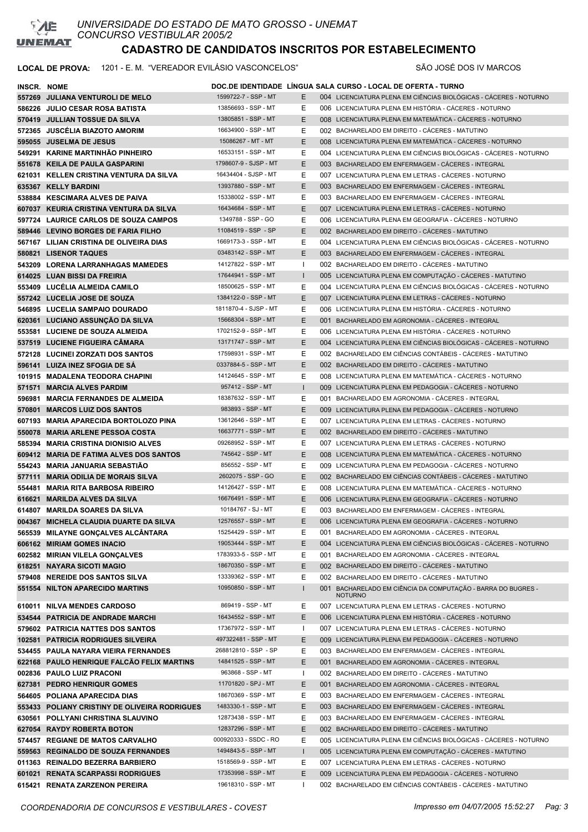

*UNIVERSIDADE DO ESTADO DE MATO GROSSO - UNEMAT CONCURSO VESTIBULAR 2005/2*

# **CADASTRO DE CANDIDATOS INSCRITOS POR ESTABELECIMENTO**

| INSCR. NOME |                                               |                       |              | DOC.DE IDENTIDADE LÍNGUA SALA CURSO - LOCAL DE OFERTA - TURNO                  |
|-------------|-----------------------------------------------|-----------------------|--------------|--------------------------------------------------------------------------------|
|             | 557269 JULIANA VENTUROLI DE MELO              | 1599722-7 - SSP - MT  | E            | 004 LICENCIATURA PLENA EM CIÊNCIAS BIOLÓGICAS - CÁCERES - NOTURNO              |
|             | 586226 JULIO CESAR ROSA BATISTA               | 13856693 - SSP - MT   | Ε            | 006 LICENCIATURA PLENA EM HISTÓRIA - CÁCERES - NOTURNO                         |
|             | 570419 JULLIAN TOSSUE DA SILVA                | 13805851 - SSP - MT   | Е            | 008 LICENCIATURA PLENA EM MATEMÁTICA - CÁCERES - NOTURNO                       |
|             | 572365 JUSCELIA BIAZOTO AMORIM                | 16634900 - SSP - MT   | Е            | 002 BACHARELADO EM DIREITO - CÁCERES - MATUTINO                                |
|             | 595055 JUSELMA DE JESUS                       | 15086267 - MT - MT    | Е            | 008 LICENCIATURA PLENA EM MATEMÁTICA - CÁCERES - NOTURNO                       |
|             | 549291 KARINE MARTINHÃO PINHEIRO              | 16533151 - SSP - MT   | Е            | 004 LICENCIATURA PLENA EM CIÊNCIAS BIOLÓGICAS - CÁCERES - NOTURNO              |
|             | 551678 KEILA DE PAULA GASPARINI               | 1798607-9 - SJSP - MT | Е            | 003 BACHARELADO EM ENFERMAGEM - CÁCERES - INTEGRAL                             |
|             | 621031 KELLEN CRISTINA VENTURA DA SILVA       | 16434404 - SJSP - MT  | Е            | 007 LICENCIATURA PLENA EM LETRAS - CÁCERES - NOTURNO                           |
|             | 635367 KELLY BARDINI                          | 13937880 - SSP - MT   | Е            | 003 BACHARELADO EM ENFERMAGEM - CÁCERES - INTEGRAL                             |
|             | 538884 KESCIMARA ALVES DE PAIVA               | 15338002 - SSP - MT   | Ε            | 003 BACHARELADO EM ENFERMAGEM - CÁCERES - INTEGRAL                             |
|             | 607037 KEURIA CRISTINA VENTURA DA SILVA       | 16434684 - SSP - MT   | E            | 007 LICENCIATURA PLENA EM LETRAS - CACERES - NOTURNO                           |
|             | 597724 LAURICE CARLOS DE SOUZA CAMPOS         | 1349788 - SSP - GO    | Ε            | 006 LICENCIATURA PLENA EM GEOGRAFIA - CÁCERES - NOTURNO                        |
|             | 589446 LEVINO BORGES DE FARIA FILHO           | 11084519 - SSP - SP   | E            | 002 BACHARELADO EM DIREITO - CÁCERES - MATUTINO                                |
|             | 567167 LILIAN CRISTINA DE OLIVEIRA DIAS       | 1669173-3 - SSP - MT  | Ε            | 004 LICENCIATURA PLENA EM CIÊNCIAS BIOLÓGICAS - CÁCERES - NOTURNO              |
|             | 580821 LISENOR TAQUES                         | 03483142 - SSP - MT   | E            | 003 BACHARELADO EM ENFERMAGEM - CÁCERES - INTEGRAL                             |
|             | 543209 LORENA LARRANHAGAS MAMEDES             | 14127822 - SSP - MT   | $\mathbf{I}$ | 002 BACHARELADO EM DIREITO - CÁCERES - MATUTINO                                |
|             | 614025 LUAN BISSI DA FREIRIA                  | 17644941 - SSP - MT   | $\mathsf{I}$ | 005 LICENCIATURA PLENA EM COMPUTAÇÃO - CÁCERES - MATUTINO                      |
|             | 553409 LUCELIA ALMEIDA CAMILO                 | 18500625 - SSP - MT   | Е            | 004 LICENCIATURA PLENA EM CIÊNCIAS BIOLÓGICAS - CÁCERES - NOTURNO              |
|             | 557242 LUCELIA JOSE DE SOUZA                  | 1384122-0 - SSP - MT  | E            | 007 LICENCIATURA PLENA EM LETRAS - CACERES - NOTURNO                           |
|             | 546895 LUCELIA SAMPAIO DOURADO                | 1811870-4 - SJSP - MT | Е            | 006 LICENCIATURA PLENA EM HISTÓRIA - CÁCERES - NOTURNO                         |
|             | 620361 LUCIANO ASSUNCÃO DA SILVA              | 15668304 - SSP - MT   | Е            | 001 BACHARELADO EM AGRONOMIA - CÁCERES - INTEGRAL                              |
|             | 553581 LUCIENE DE SOUZA ALMEIDA               | 1702152-9 - SSP - MT  | Ε            | 006 LICENCIATURA PLENA EM HISTÓRIA - CÁCERES - NOTURNO                         |
|             | 537519 LUCIENE FIGUEIRA CĂMARA                | 13171747 - SSP - MT   | E            | 004 LICENCIATURA PLENA EM CIÊNCIAS BIOLÓGICAS - CÁCERES - NOTURNO              |
|             | 572128 LUCINEI ZORZATI DOS SANTOS             | 17598931 - SSP - MT   | Е            | 002 BACHARELADO EM CIÊNCIAS CONTÁBEIS - CÁCERES - MATUTINO                     |
|             | 596141 LUIZA INEZ SFOGIA DE SA                | 0337884-5 - SSP - MT  | E            | 002 BACHARELADO EM DIREITO - CÁCERES - MATUTINO                                |
|             | 101915 MADALENA TEODORA CHAPINI               | 14124645 - SSP - MT   | Ε            | 008 LICENCIATURA PLENA EM MATEMÁTICA - CÁCERES - NOTURNO                       |
|             | 571571 MARCIA ALVES PARDIM                    | 957412 - SSP - MT     | $\mathbf{I}$ | 009 LICENCIATURA PLENA EM PEDAGOGIA - CACERES - NOTURNO                        |
|             | 596981 MARCIA FERNANDES DE ALMEIDA            | 18387632 - SSP - MT   | Ε            | 001 BACHARELADO EM AGRONOMIA - CÁCERES - INTEGRAL                              |
|             | 570801 MARCOS LUIZ DOS SANTOS                 | 983893 - SSP - MT     | Е            | 009 LICENCIATURA PLENA EM PEDAGOGIA - CÁCERES - NOTURNO                        |
|             | 607193 MARIA APARECIDA BORTOLOZO PINA         | 13612646 - SSP - MT   | Ε            | 007 LICENCIATURA PLENA EM LETRAS - CÁCERES - NOTURNO                           |
|             | 550078 MARIA ARLENE PESSOA COSTA              | 16637771 - SSP - MT   | Е            | 002 BACHARELADO EM DIREITO - CÁCERES - MATUTINO                                |
|             | 585394 MARIA CRISTINA DIONISIO ALVES          | 09268952 - SSP - MT   | Ε            | 007 LICENCIATURA PLENA EM LETRAS - CÁCERES - NOTURNO                           |
|             | 609412 MARIA DE FATIMA ALVES DOS SANTOS       | 745642 - SSP - MT     | Е            | 008 LICENCIATURA PLENA EM MATEMÁTICA - CÁCERES - NOTURNO                       |
|             | 554243 MARIA JANUARIA SEBASTIÃO               | 856552 - SSP - MT     | Е            | 009 LICENCIATURA PLENA EM PEDAGOGIA - CÁCERES - NOTURNO                        |
|             | 577111 MARIA ODILIA DE MORAIS SILVA           | 2602075 - SSP - GO    | Е            | 002 BACHARELADO EM CIÊNCIAS CONTÁBEIS - CÁCERES - MATUTINO                     |
|             | 554481 MARIA RITA BARBOSA RIBEIRO             | 14126427 - SSP - MT   | Е            | 008 LICENCIATURA PLENA EM MATEMÁTICA - CACERES - NOTURNO                       |
|             | 616621 MARILDA ALVES DA SILVA                 | 16676491 - SSP - MT   | Е            | 006 LICENCIATURA PLENA EM GEOGRAFIA - CÁCERES - NOTURNO                        |
|             | 614807 MARILDA SOARES DA SILVA                | 10184767 - SJ - MT    | Е            | 003 BACHARELADO EM ENFERMAGEM - CÁCERES - INTEGRAL                             |
|             | 004367 MICHELA CLAUDIA DUARTE DA SILVA        | 12576557 - SSP - MT   | E            | 006 LICENCIATURA PLENA EM GEOGRAFIA - CÁCERES - NOTURNO                        |
|             | 565539 MILAYNE GONCALVES ALCÂNTARA            | 15254429 - SSP - MT   | Ε            | 001 BACHARELADO EM AGRONOMIA - CÁCERES - INTEGRAL                              |
|             | 606162 MIRIAM GOMES INACIO                    | 19053444 - SSP - MT   | Е            | 004 LICENCIATURA PLENA EM CIÊNCIAS BIOLÓGICAS - CÁCERES - NOTURNO              |
|             | 602582 MIRIAN VILELA GONÇALVES                | 1783933-5 - SSP - MT  | Е            | 001 BACHARELADO EM AGRONOMIA - CÁCERES - INTEGRAL                              |
|             | 618251 NAYARA SICOTI MAGIO                    | 18670350 - SSP - MT   | Е            | 002 BACHARELADO EM DIREITO - CÁCERES - MATUTINO                                |
|             | 579408 NEREIDE DOS SANTOS SILVA               | 13339362 - SSP - MT   | Е            | 002 BACHARELADO EM DIREITO - CÁCERES - MATUTINO                                |
|             | 551554 NILTON APARECIDO MARTINS               | 10950850 - SSP - MT   | 1            | 001 BACHARELADO EM CIÊNCIA DA COMPUTAÇÃO - BARRA DO BUGRES -<br><b>NOTURNO</b> |
|             | 610011 NILVA MENDES CARDOSO                   | 869419 - SSP - MT     | Ε            | 007 LICENCIATURA PLENA EM LETRAS - CÁCERES - NOTURNO                           |
|             | 534544 PATRICIA DE ANDRADE MARCHI             | 16434552 - SSP - MT   | Е            | 006 LICENCIATURA PLENA EM HISTÓRIA - CÁCERES - NOTURNO                         |
|             | 579602 PATRICIA NATTES DOS SANTOS             | 17367972 - SSP - MT   | $\mathbf{I}$ | 007 LICENCIATURA PLENA EM LETRAS - CÁCERES - NOTURNO                           |
|             | 102581 PATRICIA RODRIGUES SILVEIRA            | 497322481 - SSP - MT  | Е            | 009 LICENCIATURA PLENA EM PEDAGOGIA - CÁCERES - NOTURNO                        |
|             | 534455 PAULA NAYARA VIEIRA FERNANDES          | 268812810 - SSP - SP  | Ε            | 003 BACHARELADO EM ENFERMAGEM - CÁCERES - INTEGRAL                             |
|             | 622168 PAULO HENRIQUE FALCÃO FELIX MARTINS    | 14841525 - SSP - MT   | Е            | 001 BACHARELADO EM AGRONOMIA - CÁCERES - INTEGRAL                              |
|             | 002836 PAULO LUIZ PRACONI                     | 963868 - SSP - MT     | -1           | 002 BACHARELADO EM DIREITO - CÁCERES - MATUTINO                                |
|             | 627381 PEDRO HENRIQUR GOMES                   | 11701820 - SPJ - MT   | Е            | 001 BACHARELADO EM AGRONOMIA - CÁCERES - INTEGRAL                              |
|             | 564605 POLIANA APARECIDA DIAS                 | 18670369 - SSP - MT   | Е            | 003 BACHARELADO EM ENFERMAGEM - CÁCERES - INTEGRAL                             |
|             | 553433 POLIANY CRISTINY DE OLIVEIRA RODRIGUES | 1483330-1 - SSP - MT  | Е            | 003 BACHARELADO EM ENFERMAGEM - CÁCERES - INTEGRAL                             |
|             | 630561 POLLYANI CHRISTINA SLAUVINO            | 12873438 - SSP - MT   | Ε            | 003 BACHARELADO EM ENFERMAGEM - CÁCERES - INTEGRAL                             |
|             | 627054 RAYDY ROBERTA BOTON                    | 12837296 - SSP - MT   | Ε            | 002 BACHARELADO EM DIREITO - CÁCERES - MATUTINO                                |
|             | 574457 REGIANE DE MATOS CARVALHO              | 000920333 - SSDC - RO | Ε            | 005 LICENCIATURA PLENA EM CIÊNCIAS BIOLÓGICAS - CÁCERES - NOTURNO              |
|             | 559563 REGINALDO DE SOUZA FERNANDES           | 1494843-5 - SSP - MT  | $\mathsf{I}$ | 005 LICENCIATURA PLENA EM COMPUTAÇÃO - CÁCERES - MATUTINO                      |
|             | 011363 REINALDO BEZERRA BARBIERO              | 1518569-9 - SSP - MT  | Е            | 007 LICENCIATURA PLENA EM LETRAS - CÁCERES - NOTURNO                           |
|             | 601021 RENATA SCARPASSI RODRIGUES             | 17353998 - SSP - MT   | Ε            | 009 LICENCIATURA PLENA EM PEDAGOGIA - CÁCERES - NOTURNO                        |
|             | 615421 RENATA ZARZENON PEREIRA                | 19618310 - SSP - MT   | -1           | 002 BACHARELADO EM CIÊNCIAS CONTÁBEIS - CÁCERES - MATUTINO                     |